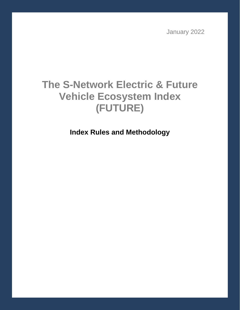January 2022

# **The S-Network Electric & Future Vehicle Ecosystem Index (FUTURE)**

**Index Rules and Methodology**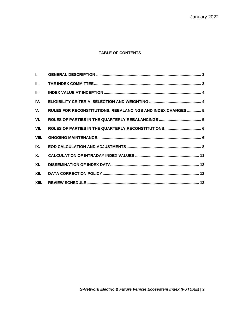#### **TABLE OF CONTENTS**

| Ш.        |                                                                 |  |
|-----------|-----------------------------------------------------------------|--|
| III.      |                                                                 |  |
| IV.       |                                                                 |  |
|           | V. RULES FOR RECONSTITUTIONS, REBALANCINGS AND INDEX CHANGES  5 |  |
| VI.       |                                                                 |  |
| VII.      |                                                                 |  |
| VIII.     |                                                                 |  |
| IX.       |                                                                 |  |
| <b>X.</b> |                                                                 |  |
| XI.       |                                                                 |  |
|           |                                                                 |  |
|           |                                                                 |  |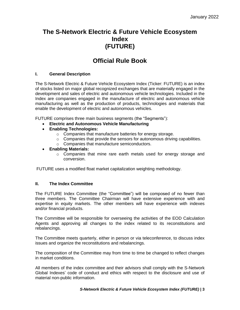# **The S-Network Electric & Future Vehicle Ecosystem Index (FUTURE)**

# **Official Rule Book**

# <span id="page-2-0"></span>**I. General Description**

The S-Network Electric & Future Vehicle Ecosystem Index (Ticker: FUTURE) is an index of stocks listed on major global recognized exchanges that are materially engaged in the development and sales of electric and autonomous vehicle technologies. Included in the Index are companies engaged in the manufacture of electric and autonomous vehicle manufacturing as well as the production of products, technologies and materials that enable the development of electric and autonomous vehicles.

FUTURE comprises three main business segments (the "Segments"):

- **Electric and Autonomous Vehicle Manufacturing**
- **Enabling Technologies:**
	- o Companies that manufacture batteries for energy storage.
	- $\circ$  Companies that provide the sensors for autonomous driving capabilities.
	- o Companies that manufacture semiconductors.

## • **Enabling Materials:**

 $\circ$  Companies that mine rare earth metals used for energy storage and conversion.

FUTURE uses a modified float market capitalization weighting methodology.

#### <span id="page-2-1"></span>**II. The Index Committee**

The FUTURE Index Committee (the "Committee") will be composed of no fewer than three members. The Committee Chairman will have extensive experience with and expertise in equity markets. The other members will have experience with indexes and/or financial products.

The Committee will be responsible for overseeing the activities of the EOD Calculation Agents and approving all changes to the index related to its reconstitutions and rebalancings.

The Committee meets quarterly, either in person or via teleconference, to discuss index issues and organize the reconstitutions and rebalancings.

The composition of the Committee may from time to time be changed to reflect changes in market conditions.

All members of the index committee and their advisors shall comply with the S-Network Global Indexes' code of conduct and ethics with respect to the disclosure and use of material non-public information.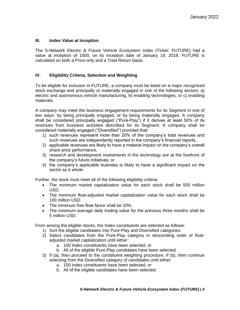#### <span id="page-3-0"></span>**III. Index Value at Inception**

The S-Network Electric & Future Vehicle Ecosystem Index (Ticker: FUTURE) had a value at inception of 1000, on its inception date of January 19, 2018. FUTURE is calculated on both a Price-only and a Total Return basis.

# <span id="page-3-1"></span>**IV. Eligibility Criteria, Selection and Weighting**

To be eligible for inclusion in FUTURE, a company must be listed on a major recognized stock exchange and principally or materially engaged in one of the following sectors: a) electric and autonomous vehicle manufacturing, b) enabling technologies, or c) enabling materials.

A company may meet the business engagement requirements for its Segment in one of two ways: by being principally engaged, or by being materially engaged. A company shall be considered principally engaged ("Pure-Play") if it derives at least 50% of its revenues from business activities described for its Segment. A company shall be considered materially engaged ("Diversified") provided that:

- 1) such revenues represent more than 20% of the company's total revenues and such revenues are independently reported in the company's financial reports,
- 2) applicable revenues are likely to have a material impact on the company's overall share price performance,
- 3) research and development investments in the technology are at the forefront of the company's future initiatives, or
- 4) the company's applicable business is likely to have a significant impact on the sector as a whole.

Further, the stock must meet all of the following eligibility criteria:

- The minimum market capitalization value for each stock shall be 500 million USD.
- The minimum float-adjusted market capitalization value for each stock shall be 100 million USD.
- The minimum free float factor shall be 20%.
- The minimum average daily trading value for the previous three months shall be 5 million USD.

From among the eligible stocks, the Index constituents are selected as follows:

- 1) Sort the eligible candidates into Pure-Play and Diversified categories.
- 2) Select candidates from the Pure-Play category in descending order of floatadjusted market capitalization until either:
	- a. 100 Index constituents have been selected, or
	- b. All of the eligible Pure-Play candidates have been selected.
- 3) If (a), then proceed to the constituent weighting procedure. If (b), then continue selecting from the Diversified category of candidates until either:
	- a. 100 Index constituents have been selected, or
	- b. All of the eligible candidates have been selected.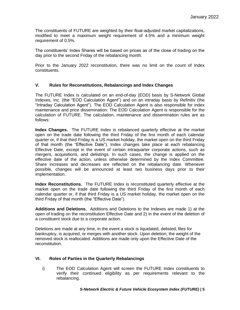The constituents of FUTURE are weighted by their float-adjusted market capitalizations, modified to meet a maximum weight requirement of 4.5% and a minimum weight requirement of 0.5%.

The constituents' Index Shares will be based on prices as of the close of trading on the day prior to the second Friday of the rebalancing month.

Prior to the January 2022 reconstitution, there was no limit on the count of Index constituents.

# <span id="page-4-0"></span>**V. Rules for Reconstitutions, Rebalancings and Index Changes**

The FUTURE Index is calculated on an end-of-day (EOD) basis by S-Network Global Indexes, Inc. (the "EOD Calculation Agent") and on an intraday basis by Refinitiv (the "Intraday Calculation Agent"). The EOD Calculation Agent is also responsible for index maintenance and price dissemination. The EOD Calculation Agent is responsible for the calculation of FUTURE. The calculation, maintenance and dissemination rules are as follows:

**Index Changes.** The FUTURE Index is rebalanced quarterly effective at the market open on the trade date following the third Friday of the first month of each calendar quarter or, if that third Friday is a US market holiday, the market open on the third Friday of that month (the "Effective Date"). Index changes take place at each rebalancing Effective Date, except in the event of certain intraquarter corporate actions, such as mergers, acquisitions, and delistings. In such cases, the change is applied on the effective date of the action, unless otherwise determined by the Index Committee. Share increases and decreases are reflected on the rebalancing date. Whenever possible, changes will be announced at least two business days prior to their implementation.

**Index Reconstitutions.** The FUTURE Index is reconstituted quarterly effective at the market open on the trade date following the third Friday of the first month of each calendar quarter or, if that third Friday is a US market holiday, the market open on the third Friday of that month (the "Effective Date").

**Additions and Deletions.** Additions and Deletions to the Indexes are made 1) at the open of trading on the reconstitution Effective Date and 2) in the event of the deletion of a constituent stock due to a corporate action.

Deletions are made at any time, in the event a stock is liquidated, delisted, files for bankruptcy, is acquired, or merges with another stock. Upon deletion, the weight of the removed stock is reallocated. Additions are made only upon the Effective Date of the reconstitution.

#### <span id="page-4-1"></span>**VI. Roles of Parties in the Quarterly Rebalancings**

i) The EOD Calculation Agent will screen the FUTURE Index constituents to verify their continued eligibility as per requirements relevant to the rebalancing.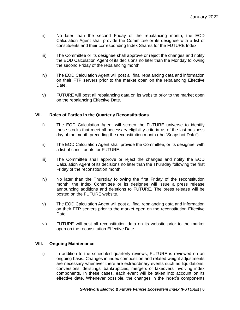- ii) No later than the second Friday of the rebalancing month, the EOD Calculation Agent shall provide the Committee or its designee with a list of constituents and their corresponding Index Shares for the FUTURE Index.
- iii) The Committee or its designee shall approve or reject the changes and notify the EOD Calculation Agent of its decisions no later than the Monday following the second Friday of the rebalancing month.
- iv) The EOD Calculation Agent will post all final rebalancing data and information on their FTP servers prior to the market open on the rebalancing Effective Date.
- v) FUTURE will post all rebalancing data on its website prior to the market open on the rebalancing Effective Date.

#### <span id="page-5-0"></span>**VII. Roles of Parties in the Quarterly Reconstitutions**

- i) The EOD Calculation Agent will screen the FUTURE universe to identify those stocks that meet all necessary eligibility criteria as of the last business day of the month preceding the reconstitution month (the "Snapshot Date").
- ii) The EOD Calculation Agent shall provide the Committee, or its designee, with a list of constituents for FUTURE.
- iii) The Committee shall approve or reject the changes and notify the EOD Calculation Agent of its decisions no later than the Thursday following the first Friday of the reconstitution month.
- iv) No later than the Thursday following the first Friday of the reconstitution month, the Index Committee or its designee will issue a press release announcing additions and deletions to FUTURE. The press release will be posted on the FUTURE website.
- v) The EOD Calculation Agent will post all final rebalancing data and information on their FTP servers prior to the market open on the reconstitution Effective Date.
- vi) FUTURE will post all reconstitution data on its website prior to the market open on the reconstitution Effective Date.

## <span id="page-5-1"></span>**VIII. Ongoing Maintenance**

i) In addition to the scheduled quarterly reviews, FUTURE is reviewed on an ongoing basis. Changes in index composition and related weight adjustments are necessary whenever there are extraordinary events such as liquidations, conversions, delistings, bankruptcies, mergers or takeovers involving index components. In these cases, each event will be taken into account on its effective date. Whenever possible, the changes in the index's components

#### *S-Network Electric & Future Vehicle Ecosystem Index (FUTURE)* **| 6**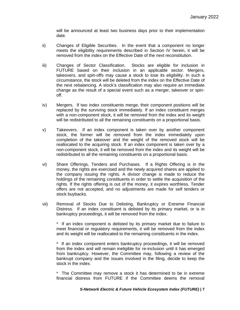will be announced at least two business days prior to their implementation date.

- ii) Changes of Eligible Securities. In the event that a component no longer meets the eligibility requirements described in Section IV herein, it will be removed from the index on the Effective Date of the next reconstitution.
- iii) Changes of Sector Classification. Stocks are eligible for inclusion in FUTURE based on their inclusion in an applicable sector. Mergers, takeovers, and spin-offs may cause a stock to lose its eligibility. In such a circumstance, the stock will be deleted from the index on the Effective Date of the next rebalancing. A stock's classification may also require an immediate change as the result of a special event such as a merger, takeover or spinoff.
- iv) Mergers. If two index constituents merge, their component positions will be replaced by the surviving stock immediately. If an index constituent merges with a non-component stock, it will be removed from the index and its weight will be redistributed to all the remaining constituents on a proportional basis.
- v) Takeovers. If an index component is taken over by another component stock, the former will be removed from the index immediately upon completion of the takeover and the weight of the removed stock will be reallocated to the acquiring stock. If an index component is taken over by a non-component stock, it will be removed from the index and its weight will be redistributed to all the remaining constituents on a proportional basis.
- vi) Share Offerings, Tenders and Purchases. If a Rights Offering is in the money, the rights are exercised and the newly acquired shares are applied to the company issuing the rights. A divisor change is made to reduce the holdings of the remaining constituents in order to settle the acquisition of the rights. If the rights offering is out of the money, it expires worthless. Tender offers are not accepted, and no adjustments are made for self tenders or stock buybacks.
- vii) Removal of Stocks Due to Delisting, Bankruptcy or Extreme Financial Distress. If an index constituent is delisted by its primary market, or is in bankruptcy proceedings, it will be removed from the index.

\* If an index component is delisted by its primary market due to failure to meet financial or regulatory requirements, it will be removed from the index and its weight will be reallocated to the remaining constituents in the index.

\* If an index component enters bankruptcy proceedings, it will be removed from the index and will remain ineligible for re-inclusion until it has emerged from bankruptcy. However, the Committee may, following a review of the bankrupt company and the issues involved in the filing, decide to keep the stock in the index.

\* The Committee may remove a stock it has determined to be in extreme financial distress from FUTURE if the Committee deems the removal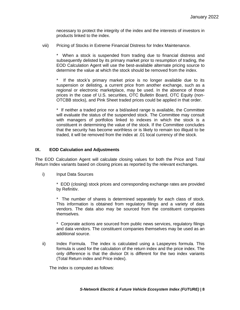necessary to protect the integrity of the index and the interests of investors in products linked to the index.

viii) Pricing of Stocks in Extreme Financial Distress for Index Maintenance.

\* When a stock is suspended from trading due to financial distress and subsequently delisted by its primary market prior to resumption of trading, the EOD Calculation Agent will use the best-available alternate pricing source to determine the value at which the stock should be removed from the index.

If the stock's primary market price is no longer available due to its suspension or delisting, a current price from another exchange, such as a regional or electronic marketplace, may be used. In the absence of those prices in the case of U.S. securities, OTC Bulletin Board, OTC Equity (non-OTCBB stocks), and Pink Sheet traded prices could be applied in that order.

\* If neither a traded price nor a bid/asked range is available, the Committee will evaluate the status of the suspended stock. The Committee may consult with managers of portfolios linked to indexes in which the stock is a constituent in determining the value of the stock. If the Committee concludes that the security has become worthless or is likely to remain too illiquid to be traded, it will be removed from the index at .01 local currency of the stock.

## <span id="page-7-0"></span>**IX. EOD Calculation and Adjustments**

The EOD Calculation Agent will calculate closing values for both the Price and Total Return Index variants based on closing prices as reported by the relevant exchanges.

i) Input Data Sources

\* EOD (closing) stock prices and corresponding exchange rates are provided by Refinitiv.

\* The number of shares is determined separately for each class of stock. This information is obtained from regulatory filings and a variety of data vendors. The data also may be sourced from the constituent companies themselves.

\* Corporate actions are sourced from public news services, regulatory filings and data vendors. The constituent companies themselves may be used as an additional source.

ii) Index Formula. The index is calculated using a Laspeyres formula. This formula is used for the calculation of the return index and the price index. The only difference is that the divisor Dt is different for the two index variants (Total Return index and Price index).

The index is computed as follows: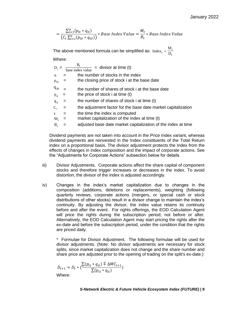$$
= \frac{\sum_{i=1}^{n} (p_{it} * q_{it})}{(C_t \sum_{i=1}^{n} (p_{io} * q_{io}))} * Base Index Value = \frac{M_t}{B_t} * Base Index Value
$$

The above mentioned formula can be simplified as: Index,  $=$   $\frac{M}{D}$ <sup>t</sup> D  $=\frac{m_t}{D}$ t

Where:

| $\frac{1}{\text{base index value}}$ = divisor at time (t)<br>the number of stocks in the index<br>$\mathbf n$ |  |
|---------------------------------------------------------------------------------------------------------------|--|
| the closing price of stock i at the base date<br>$P_{i0}$                                                     |  |
| $q_{i0}$<br>the number of shares of stock i at the base date                                                  |  |
| the price of stock i at time (t)<br>$p_{it}$                                                                  |  |
| the number of shares of stock i at time (t)<br>$q_{it}$                                                       |  |
| the adjustment factor for the base date market capitalization<br>$C_{t}$<br>$=$                               |  |
| the time the index is computed<br>$\mathbf t$                                                                 |  |
| market capitalization of the index at time (t)<br>$M_{\rm t}$                                                 |  |
| adjusted base date market capitalization of the index at time<br>$B_{\rm t}$                                  |  |

Dividend payments are not taken into account in the Price Index variant, whereas dividend payments are reinvested in the Index constituents of the Total Return index on a proportional basis. The divisor adjustment protects the Index from the effects of changes in index composition and the impact of corporate actions. See the "Adjustments for Corporate Actions" subsection below for details.

- iii) Divisor Adjustments. Corporate actions affect the share capital of component stocks and therefore trigger increases or decreases in the index. To avoid distortion, the divisor of the index is adjusted accordingly.
- iv) Changes in the index's market capitalization due to changes in the composition (additions, deletions or replacements), weighting (following quarterly reviews, corporate actions (mergers, or special cash or stock distributions of other stocks) result in a divisor change to maintain the index's continuity. By adjusting the divisor, the index value retains its continuity before and after the event. For rights offerings, the EOD Calculation Agent will price the rights during the subscription period, not before or after. Alternatively, the EOD Calculation Agent may start pricing the rights after the ex-date and before the subscription period, under the condition that the rights are priced daily.

\* Formulae for Divisor Adjustment. The following formulae will be used for divisor adjustments. (Note: No divisor adjustments are necessary for stock splits, since market capitalization does not change and the share number and share price are adjusted prior to the opening of trading on the split's ex-date.)

$$
D_{t+1} = D_t * (\frac{\sum (p_{it} * q_{it}) \mp \Delta MC_{t+1}}{\sum (p_{it} * q_{it})})
$$
  
Where:

Where: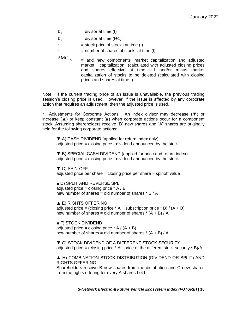| $D_{t}$                    | $=$ divisor at time (t)                                                                                                                                                                                                                               |
|----------------------------|-------------------------------------------------------------------------------------------------------------------------------------------------------------------------------------------------------------------------------------------------------|
| $D_{t+1}$                  | $=$ divisor at time (t+1)                                                                                                                                                                                                                             |
| $p_{it}$                   | $=$ stock price of stock i at time (t)                                                                                                                                                                                                                |
| $q_{it}$                   | $=$ number of shares of stock i at time (t)                                                                                                                                                                                                           |
| $\Delta \mathrm{MC}_{t+1}$ | = add new components' market capitalization and adjusted<br>market capitalization (calculated with adjusted closing prices<br>and shares effective at time t+1 and/or minus market<br>capitalization of stocks to be deleted (calculated with closing |

Note: If the current trading price of an issue is unavailable, the previous trading session's closing price is used. However, if the issue is affected by any corporate action that requires an adjustment, then the adjusted price is used.

prices and shares at time t)

Adjustments for Corporate Actions. An index divisor may decrease ( $\blacktriangledown$ ) or increase (▲) or keep constant (■) when corporate actions occur for a component stock. Assuming shareholders receive "B" new shares and "A" shares are originally held for the following corporate actions:

▼ A) CASH DIVIDEND (applied for return index only) adjusted price = closing price - dividend announced by the stock

▼ B) SPECIAL CASH DIVIDEND (applied for price and return index) adjusted price = closing price - dividend announced by the stock

▼ C) SPIN-OFF adjusted price per share = closing price per share – spinoff value

■ D) SPLIT AND REVERSE SPLIT adjusted price = closing price \* A / B new number of shares = old number of shares  $* B / A$ 

▲ E) RIGHTS OFFERING adjusted price = (closing price  $* A +$  subscription price  $* B$ ) / (A + B) new number of shares = old number of shares  $*(A + B) / A$ 

■ F) STOCK DIVIDEND adjusted price = closing price  $* A / (A + B)$ new number of shares = old number of shares  $*(A + B) / A$ 

▼ G) STOCK DIVIDEND OF A DIFFERENT STOCK SECURITY adjusted price = (closing price  $* A$  - price of the different stock security  $* B$ )/A

▲ H) COMBINATION STOCK DISTRIBUTION (DIVIDEND OR SPLIT) AND RIGHTS OFFERING

Shareholders receive B new shares from the distribution and C new shares from the rights offering for every A shares held: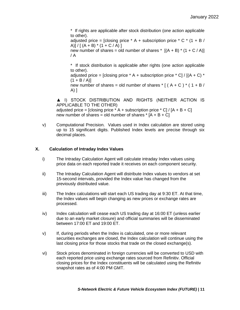\* If rights are applicable after stock distribution (one action applicable to other).

adjusted price = [closing price  $* A +$  subscription price  $* C * (1 + B / A)$ A)] / [  $(A + B) * (1 + C / A)$  ] new number of shares = old number of shares  $*$   $[(A + B) * (1 + C / A)]$ / A

\* If stock distribution is applicable after rights (one action applicable to other).

adjusted price = [closing price  $* A +$  subscription price  $* C$ ] / [(A + C)  $*$  $(1 + B / A)$ new number of shares = old number of shares  $*(A + C) * (1 + B)$ 

$$
A) \, \bigr]
$$

▲ I) STOCK DISTRIBUTION AND RIGHTS (NEITHER ACTION IS APPLICABLE TO THE OTHER) adjusted price =  $[closure of the * A + subscription price * C]/[A + B + C]$ 

new number of shares = old number of shares  $*$   $[A + B + C]$ 

v) Computational Precision. Values used in Index calculation are stored using up to 15 significant digits. Published Index levels are precise through six decimal places.

# <span id="page-10-0"></span>**X. Calculation of Intraday Index Values**

- i) The Intraday Calculation Agent will calculate intraday Index values using price data on each reported trade it receives on each component security.
- ii) The Intraday Calculation Agent will distribute Index values to vendors at set 15-second intervals, provided the Index value has changed from the previously distributed value.
- iii) The Index calculations will start each US trading day at 9:30 ET. At that time, the Index values will begin changing as new prices or exchange rates are processed.
- iv) Index calculation will cease each US trading day at 16:00 ET (unless earlier due to an early market closure) and official summaries will be disseminated between 17:00 ET and 19:00 ET.
- v) If, during periods when the Index is calculated, one or more relevant securities exchanges are closed, the Index calculation will continue using the last closing price for those stocks that trade on the closed exchange(s).
- vi) Stock prices denominated in foreign currencies will be converted to USD with each reported price using exchange rates sourced from Refinitiv. Official closing prices for the Index constituents will be calculated using the Refinitiv snapshot rates as of 4:00 PM GMT.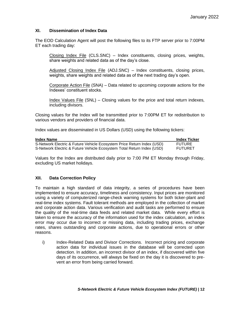#### <span id="page-11-0"></span>**XI. Dissemination of Index Data**

The EOD Calculation Agent will post the following files to its FTP server prior to 7:00PM ET each trading day:

Closing Index File (CLS.SNC) – Index constituents, closing prices, weights, share weights and related data as of the day's close.

Adjusted Closing Index File (ADJ.SNC) – Index constituents, closing prices, weights, share weights and related data as of the next trading day's open.

Corporate Action File (SNA) – Data related to upcoming corporate actions for the Indexes' constituent stocks.

Index Values File (SNL) – Closing values for the price and total return indexes, including divisors.

Closing values for the Index will be transmitted prior to 7:00PM ET for redistribution to various vendors and providers of financial data.

Index values are disseminated in US Dollars (USD) using the following tickers:

| <b>Index Name</b>                                                      | <b>Index Ticker</b> |
|------------------------------------------------------------------------|---------------------|
| S-Network Electric & Future Vehicle Ecosystem Price Return Index (USD) | FUTURE              |
| S-Network Electric & Future Vehicle Ecosystem Total Return Index (USD) | FUTURET             |

Values for the Index are distributed daily prior to 7:00 PM ET Monday through Friday, excluding US market holidays.

#### <span id="page-11-1"></span>**XII. Data Correction Policy**

To maintain a high standard of data integrity, a series of procedures have been implemented to ensure accuracy, timeliness and consistency. Input prices are monitored using a variety of computerized range-check warning systems for both ticker-plant and real-time index systems. Fault tolerant methods are employed in the collection of market and corporate action data. Various verification and audit tasks are performed to ensure the quality of the real-time data feeds and related market data. While every effort is taken to ensure the accuracy of the information used for the index calculation, an index error may occur due to incorrect or missing data, including trading prices, exchange rates, shares outstanding and corporate actions, due to operational errors or other reasons.

i) Index-Related Data and Divisor Corrections. Incorrect pricing and corporate action data for individual issues in the database will be corrected upon detection. In addition, an incorrect divisor of an index, if discovered within five days of its occurrence, will always be fixed on the day it is discovered to prevent an error from being carried forward.